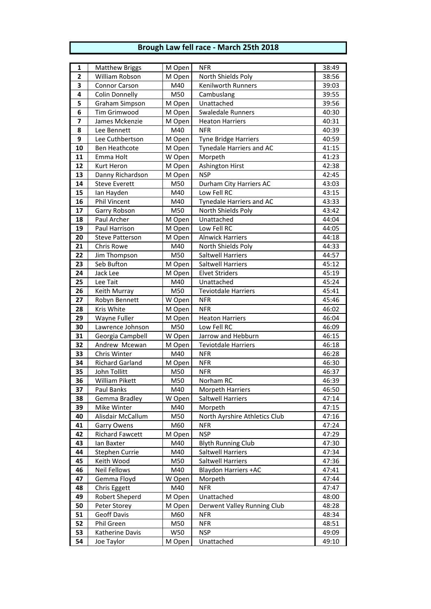## **Brough Law fell race - March 25th 2018**

| $\overline{\mathbf{1}}$ | <b>Matthew Briggs</b>                 | M Open     | <b>NFR</b>                                  | 38:49          |
|-------------------------|---------------------------------------|------------|---------------------------------------------|----------------|
| $\mathbf{2}$            | William Robson                        | M Open     | North Shields Poly                          | 38:56          |
| 3                       | Connor Carson                         | M40        | <b>Kenilworth Runners</b>                   | 39:03          |
| 4                       | <b>Colin Donnelly</b>                 | M50        | Cambuslang                                  | 39:55          |
| 5                       | Graham Simpson                        | M Open     | Unattached                                  | 39:56          |
| 6                       | Tim Grimwood                          | M Open     | <b>Swaledale Runners</b>                    | 40:30          |
| $\overline{\mathbf{z}}$ | James Mckenzie                        | M Open     | <b>Heaton Harriers</b>                      | 40:31          |
| 8                       | Lee Bennett                           | M40        | <b>NFR</b>                                  | 40:39          |
| 9                       | Lee Cuthbertson                       | M Open     | <b>Tyne Bridge Harriers</b>                 | 40:59          |
| 10                      | <b>Ben Heathcote</b>                  | M Open     | <b>Tynedale Harriers and AC</b>             | 41:15          |
| 11                      | Emma Holt                             | W Open     | Morpeth                                     | 41:23          |
| 12                      | Kurt Heron                            | M Open     | <b>Ashington Hirst</b>                      | 42:38          |
| 13                      | Danny Richardson                      | M Open     | <b>NSP</b>                                  | 42:45          |
| 14                      | <b>Steve Everett</b>                  | M50        | Durham City Harriers AC                     | 43:03          |
| 15                      | lan Hayden                            | M40        | Low Fell RC                                 | 43:15          |
| 16                      | Phil Vincent                          | M40        | Tynedale Harriers and AC                    | 43:33          |
| 17                      | Garry Robson                          | M50        | North Shields Poly                          | 43:42          |
| 18                      | Paul Archer                           | M Open     | Unattached                                  | 44:04          |
| 19                      | Paul Harrison                         | M Open     | Low Fell RC                                 | 44:05          |
| 20                      | <b>Steve Patterson</b>                | M Open     | <b>Alnwick Harriers</b>                     | 44:18          |
| 21                      | Chris Rowe                            | M40        | North Shields Poly                          | 44:33          |
| 22                      | Jim Thompson                          | M50        | <b>Saltwell Harriers</b>                    | 44:57          |
| 23                      | Seb Bufton                            | M Open     | <b>Saltwell Harriers</b>                    | 45:12          |
| 24                      | Jack Lee                              | M Open     | <b>Elvet Striders</b>                       | 45:19          |
| 25                      | Lee Tait                              | M40        | Unattached                                  | 45:24          |
| 26                      | Keith Murray                          | M50        | <b>Teviotdale Harriers</b>                  | 45:41          |
| 27                      | Robyn Bennett                         | W Open     | <b>NFR</b>                                  | 45:46          |
| 28                      | Kris White                            | M Open     | <b>NFR</b>                                  | 46:02          |
| 29                      | Wayne Fuller                          | M Open     | <b>Heaton Harriers</b>                      | 46:04          |
| 30                      | Lawrence Johnson                      | M50        | Low Fell RC                                 | 46:09          |
| 31                      | Georgia Campbell                      | W Open     | Jarrow and Hebburn                          | 46:15          |
| 32                      | Andrew Mcewan                         | M Open     | <b>Teviotdale Harriers</b>                  | 46:18          |
| 33                      | Chris Winter                          | M40        | <b>NFR</b>                                  | 46:28          |
| 34                      | <b>Richard Garland</b>                | M Open     | <b>NFR</b>                                  | 46:30          |
| 35                      | John Tollitt                          | M50        | <b>NFR</b>                                  | 46:37          |
| 36                      | <b>William Pikett</b>                 | M50        | Norham RC                                   | 46:39          |
| 37                      | Paul Banks                            | M40        | <b>Morpeth Harriers</b>                     | 46:50          |
| 38                      | Gemma Bradley                         | W Open     | Saltwell Harriers                           | 47:14          |
| 39                      | Mike Winter                           | M40        | Morpeth                                     | 47:15          |
| 40<br>41                | Alisdair McCallum                     | M50<br>M60 | North Ayrshire Athletics Club<br><b>NFR</b> | 47:16<br>47:24 |
| 42                      | Garry Owens<br><b>Richard Fawcett</b> | M Open     | <b>NSP</b>                                  | 47:29          |
| 43                      | lan Baxter                            | M40        | <b>Blyth Running Club</b>                   | 47:30          |
| 44                      | Stephen Currie                        | M40        | <b>Saltwell Harriers</b>                    | 47:34          |
| 45                      | Keith Wood                            | M50        | Saltwell Harriers                           | 47:36          |
| 46                      | <b>Neil Fellows</b>                   | M40        | <b>Blaydon Harriers +AC</b>                 | 47:41          |
| 47                      | Gemma Floyd                           | W Open     | Morpeth                                     | 47:44          |
| 48                      | Chris Eggett                          | M40        | <b>NFR</b>                                  | 47:47          |
| 49                      | Robert Sheperd                        | M Open     | Unattached                                  | 48:00          |
| 50                      | Peter Storey                          | M Open     | Derwent Valley Running Club                 | 48:28          |
| 51                      | <b>Geoff Davis</b>                    | M60        | <b>NFR</b>                                  | 48:34          |
| 52                      | Phil Green                            | M50        | <b>NFR</b>                                  | 48:51          |
| 53                      | Katherine Davis                       | <b>W50</b> | <b>NSP</b>                                  | 49:09          |
| 54                      | Joe Taylor                            | M Open     | Unattached                                  | 49:10          |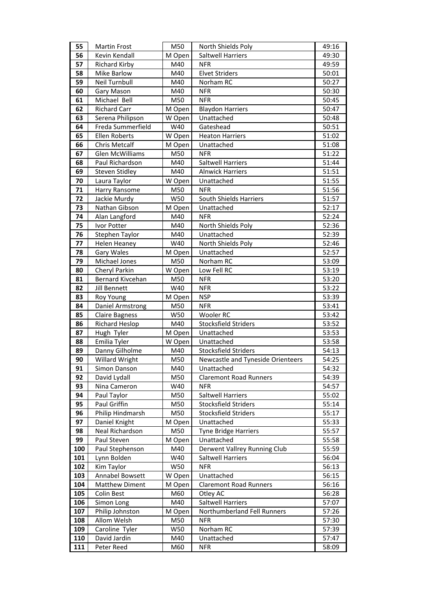| 55       | <b>Martin Frost</b>        | M50              | North Shields Poly                | 49:16          |
|----------|----------------------------|------------------|-----------------------------------|----------------|
| 56       | Kevin Kendall              | M Open           | Saltwell Harriers                 | 49:30          |
| 57       | Richard Kirby              | M40              | <b>NFR</b>                        | 49:59          |
| 58       | <b>Mike Barlow</b>         | M40              | <b>Elvet Striders</b>             | 50:01          |
| 59       | Neil Turnbull              | M40              | Norham RC                         | 50:27          |
| 60       | Gary Mason                 | M40              | <b>NFR</b>                        | 50:30          |
| 61       | Michael Bell               | M50              | <b>NFR</b>                        | 50:45          |
| 62       | <b>Richard Carr</b>        | M Open           | <b>Blaydon Harriers</b>           | 50:47          |
| 63       | Serena Philipson           | W Open           | Unattached                        | 50:48          |
| 64       | Freda Summerfield          | W40              | Gateshead                         | 50:51          |
| 65       | Ellen Roberts              | W Open           | <b>Heaton Harriers</b>            | 51:02          |
| 66       | <b>Chris Metcalf</b>       | M Open           | Unattached                        | 51:08          |
| 67       | Glen McWilliams            | M50              | <b>NFR</b>                        | 51:22          |
| 68       | Paul Richardson            | M40              | <b>Saltwell Harriers</b>          | 51:44          |
| 69       | <b>Steven Stidley</b>      | M40              | <b>Alnwick Harriers</b>           | 51:51          |
| 70       | Laura Taylor               | W Open           | Unattached                        | 51:55          |
| 71       | Harry Ransome              | M50              | <b>NFR</b>                        | 51:56          |
| 72       | Jackie Murdy               | W50              | South Shields Harriers            | 51:57          |
| 73       | Nathan Gibson              | M Open           | Unattached                        | 52:17          |
| 74       | Alan Langford              | M40              | <b>NFR</b>                        | 52:24          |
| 75       | Ivor Potter                | M40              | North Shields Poly                | 52:36          |
| 76       | Stephen Taylor             | M40              | Unattached                        | 52:39          |
| 77       | <b>Helen Heaney</b>        | W40              | North Shields Poly                | 52:46          |
| 78       | Gary Wales                 | M Open           | Unattached                        | 52:57          |
| 79       | Michael Jones              | M50              | Norham RC                         | 53:09          |
| 80       | Cheryl Parkin              | W Open           | Low Fell RC                       | 53:19          |
| 81       | Bernard Kivcehan           | M50              | <b>NFR</b>                        | 53:20          |
| 82       | Jill Bennett               | W40              | <b>NFR</b>                        | 53:22          |
| 83       | Roy Young                  | M Open           | <b>NSP</b>                        | 53:39          |
| 84       | Daniel Armstrong           | M50              | <b>NFR</b>                        | 53:41          |
| 85       | <b>Claire Bagness</b>      | W50              | Wooler RC                         | 53:42          |
| 86<br>87 | <b>Richard Heslop</b>      | M40              | Stocksfield Striders              | 53:52          |
| 88       | Hugh Tyler<br>Emilia Tyler | M Open<br>W Open | Unattached<br>Unattached          | 53:53<br>53:58 |
| 89       | Danny Gilholme             | M40              | <b>Stocksfield Striders</b>       | 54:13          |
| 90       | <b>Willard Wright</b>      | M50              | Newcastle and Tyneside Orienteers | 54:25          |
| 91       | Simon Danson               | M40              | Unattached                        | 54:32          |
| 92       | David Lydall               | M50              | <b>Claremont Road Runners</b>     | 54:39          |
| 93       | Nina Cameron               | W40              | <b>NFR</b>                        | 54:57          |
| 94       | Paul Taylor                | M50              | <b>Saltwell Harriers</b>          | 55:02          |
| 95       | Paul Griffin               | M50              | Stocksfield Striders              | 55:14          |
| 96       | Philip Hindmarsh           | M50              | Stocksfield Striders              | 55:17          |
| 97       | Daniel Knight              | M Open           | Unattached                        | 55:33          |
| 98       | Neal Richardson            | M50              | <b>Tyne Bridge Harriers</b>       | 55:57          |
| 99       | Paul Steven                | M Open           | Unattached                        | 55:58          |
| 100      | Paul Stephenson            | M40              | Derwent Vallrey Running Club      | 55:59          |
| 101      | Lynn Bolden                | W40              | <b>Saltwell Harriers</b>          | 56:04          |
| 102      | Kim Taylor                 | W50              | <b>NFR</b>                        | 56:13          |
| 103      | Annabel Bowsett            | W Open           | Unattached                        | 56:15          |
| 104      | <b>Matthew Diment</b>      | M Open           | <b>Claremont Road Runners</b>     | 56:16          |
| 105      | Colin Best                 | M60              | Otley AC                          | 56:28          |
| 106      | Simon Long                 | M40              | Saltwell Harriers                 | 57:07          |
| 107      | Philip Johnston            | M Open           | Northumberland Fell Runners       | 57:26          |
| 108      | Allom Welsh                | M50              | <b>NFR</b>                        | 57:30          |
| 109      | Caroline Tyler             | W50              | Norham RC                         | 57:39          |
| 110      | David Jardin               | M40              | Unattached                        | 57:47          |
| 111      | Peter Reed                 | M60              | <b>NFR</b>                        | 58:09          |